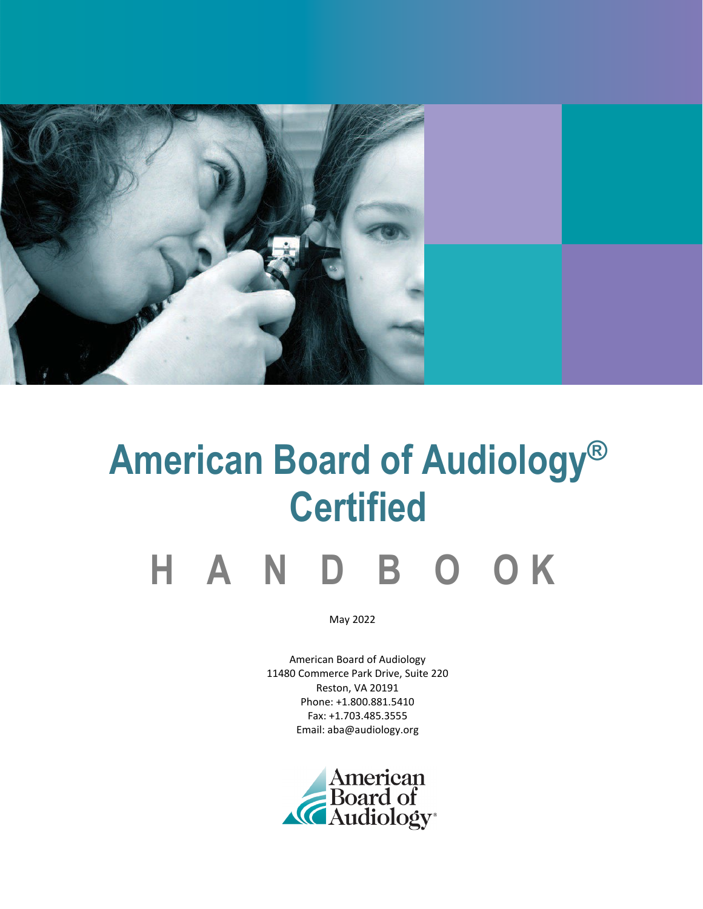

# **American Board of Audiology® Certified**

## **H A N D B O O K**

May 2022

American Board of Audiology 11480 Commerce Park Drive, Suite 220 Reston, VA 20191 Phone: +1.800.881.5410 Fax: +1.703.485.3555 Email: aba@audiology.org

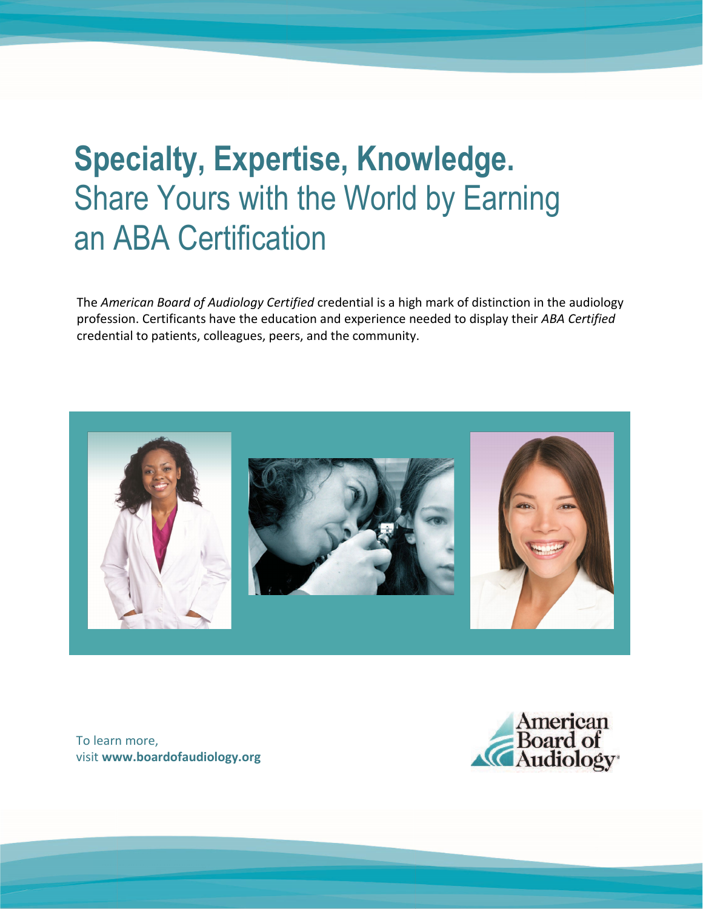## **Specialty, Expertise, Knowledge.** Share Yours with the World by Earning an ABA Certification

The *American Board of Audiology Certified* credential is a high mark of distinction in the audiology profession. Certificants have the education and experience needed to display their *ABA Certified* credential to patients, colleagues, peers, and the community.



ABA CERTIFIED AND LOCATED AT A REPORT OF THE CHARGE OF THE CHARGE OF THE CHARGE OF THE CHARGE OF THE CHARGE OF

To learn more, visit **www.boardofaudiology.org**

American Board of Audiology

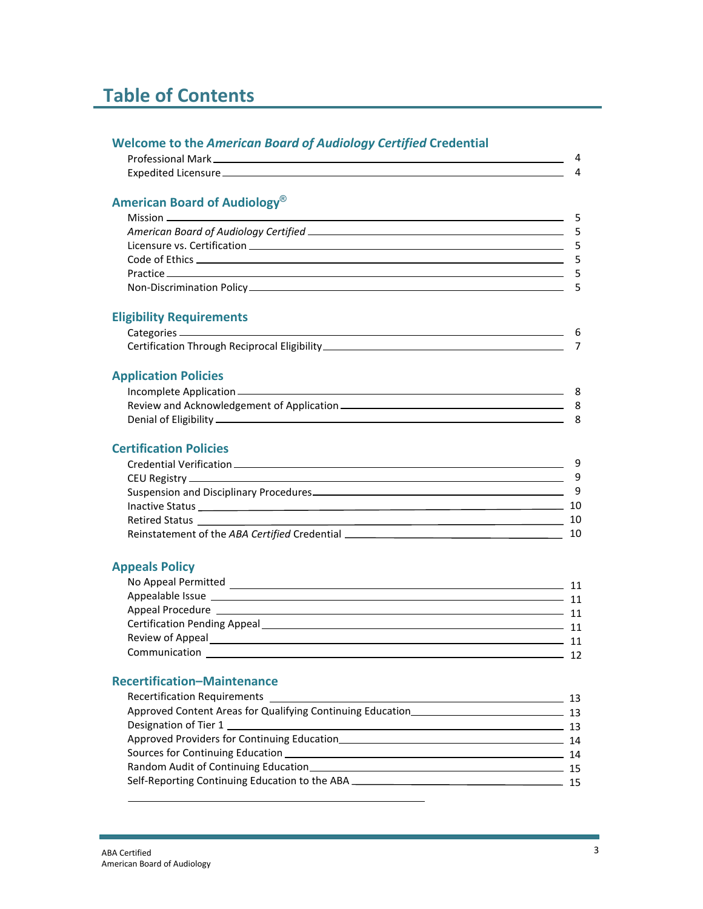## **Table of Contents**

| <b>Welcome to the American Board of Audiology Certified Credential</b> |                |
|------------------------------------------------------------------------|----------------|
|                                                                        | 4              |
|                                                                        | $\overline{a}$ |
| American Board of Audiology <sup>®</sup>                               |                |
|                                                                        | - 5            |
|                                                                        | -5             |
|                                                                        | - 5            |
|                                                                        | - 5            |
|                                                                        | - 5            |
|                                                                        | 5              |
| <b>Eligibility Requirements</b>                                        |                |
|                                                                        |                |
|                                                                        | $\overline{7}$ |
| <b>Application Policies</b>                                            |                |
|                                                                        |                |
|                                                                        |                |
|                                                                        | - 8            |
| <b>Certification Policies</b>                                          |                |
|                                                                        | -9             |
|                                                                        | 9              |
| Suspension and Disciplinary Procedures                                 | - 9            |
|                                                                        |                |
|                                                                        |                |
|                                                                        |                |
| <b>Appeals Policy</b>                                                  |                |
|                                                                        |                |
| Appealable Issue 11                                                    |                |
|                                                                        |                |
|                                                                        |                |
|                                                                        |                |
| Communication 12                                                       |                |
| <b>Recertification-Maintenance</b>                                     |                |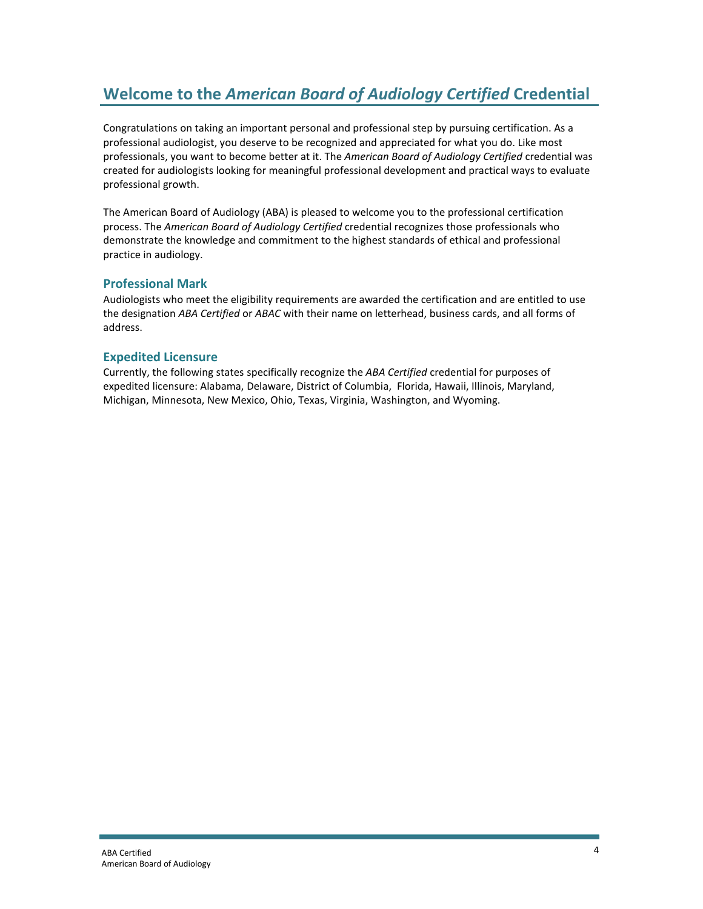## **Welcome to the** *American Board of Audiology Certified* **Credential**

Congratulations on taking an important personal and professional step by pursuing certification. As a professional audiologist, you deserve to be recognized and appreciated for what you do. Like most professionals, you want to become better at it. The *American Board of Audiology Certified* credential was created for audiologists looking for meaningful professional development and practical ways to evaluate professional growth.

The American Board of Audiology (ABA) is pleased to welcome you to the professional certification process. The *American Board of Audiology Certified* credential recognizes those professionals who demonstrate the knowledge and commitment to the highest standards of ethical and professional practice in audiology.

#### **Professional Mark**

Audiologists who meet the eligibility requirements are awarded the certification and are entitled to use the designation *ABA Certified* or *ABAC* with their name on letterhead, business cards, and all forms of address.

#### **Expedited Licensure**

Currently, the following states specifically recognize the *ABA Certified* credential for purposes of expedited licensure: Alabama, Delaware, District of Columbia, Florida, Hawaii, Illinois, Maryland, Michigan, Minnesota, New Mexico, Ohio, Texas, Virginia, Washington, and Wyoming.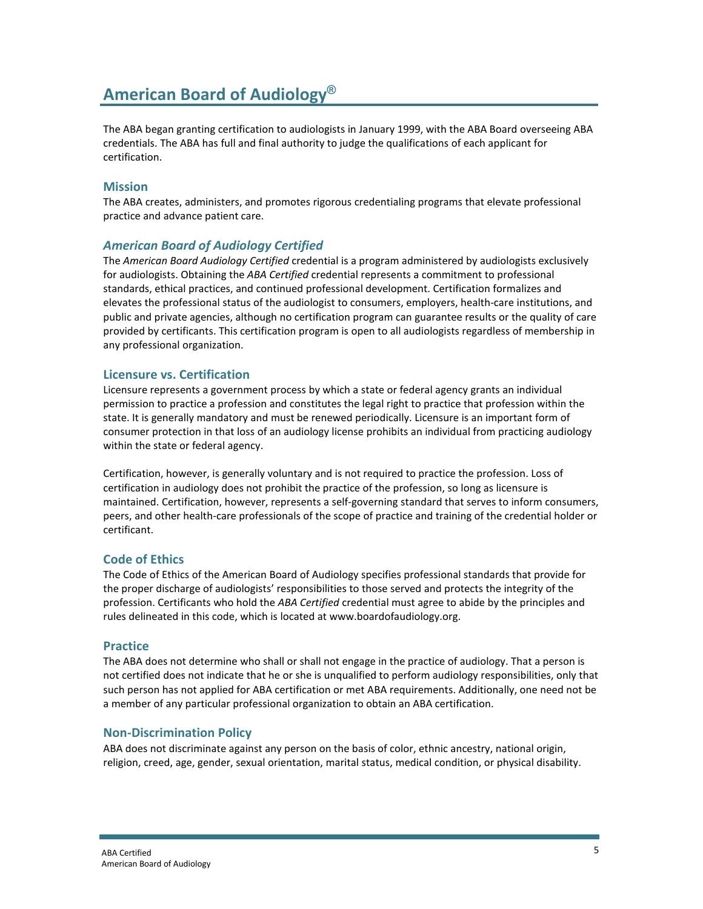## **American Board of Audiology®**

The ABA began granting certification to audiologists in January 1999, with the ABA Board overseeing ABA credentials. The ABA has full and final authority to judge the qualifications of each applicant for certification.

#### **Mission**

The ABA creates, administers, and promotes rigorous credentialing programs that elevate professional practice and advance patient care.

#### *American Board of Audiology Certified*

The *American Board Audiology Certified* credential is a program administered by audiologists exclusively for audiologists. Obtaining the *ABA Certified* credential represents a commitment to professional standards, ethical practices, and continued professional development. Certification formalizes and elevates the professional status of the audiologist to consumers, employers, health-care institutions, and public and private agencies, although no certification program can guarantee results or the quality of care provided by certificants. This certification program is open to all audiologists regardless of membership in any professional organization.

#### **Licensure vs. Certification**

Licensure represents a government process by which a state or federal agency grants an individual permission to practice a profession and constitutes the legal right to practice that profession within the state. It is generally mandatory and must be renewed periodically. Licensure is an important form of consumer protection in that loss of an audiology license prohibits an individual from practicing audiology within the state or federal agency.

Certification, however, is generally voluntary and is not required to practice the profession. Loss of certification in audiology does not prohibit the practice of the profession, so long as licensure is maintained. Certification, however, represents a self-governing standard that serves to inform consumers, peers, and other health-care professionals of the scope of practice and training of the credential holder or certificant.

#### **Code of Ethics**

The Code of Ethics of the American Board of Audiology specifies professional standards that provide for the proper discharge of audiologists' responsibilities to those served and protects the integrity of the profession. Certificants who hold the *ABA Certified* credential must agree to abide by the principles and rules delineated in this code, which is located at www.boardofaudiology.org.

#### **Practice**

The ABA does not determine who shall or shall not engage in the practice of audiology. That a person is not certified does not indicate that he or she is unqualified to perform audiology responsibilities, only that such person has not applied for ABA certification or met ABA requirements. Additionally, one need not be a member of any particular professional organization to obtain an ABA certification.

#### **Non-Discrimination Policy**

ABA does not discriminate against any person on the basis of color, ethnic ancestry, national origin, religion, creed, age, gender, sexual orientation, marital status, medical condition, or physical disability.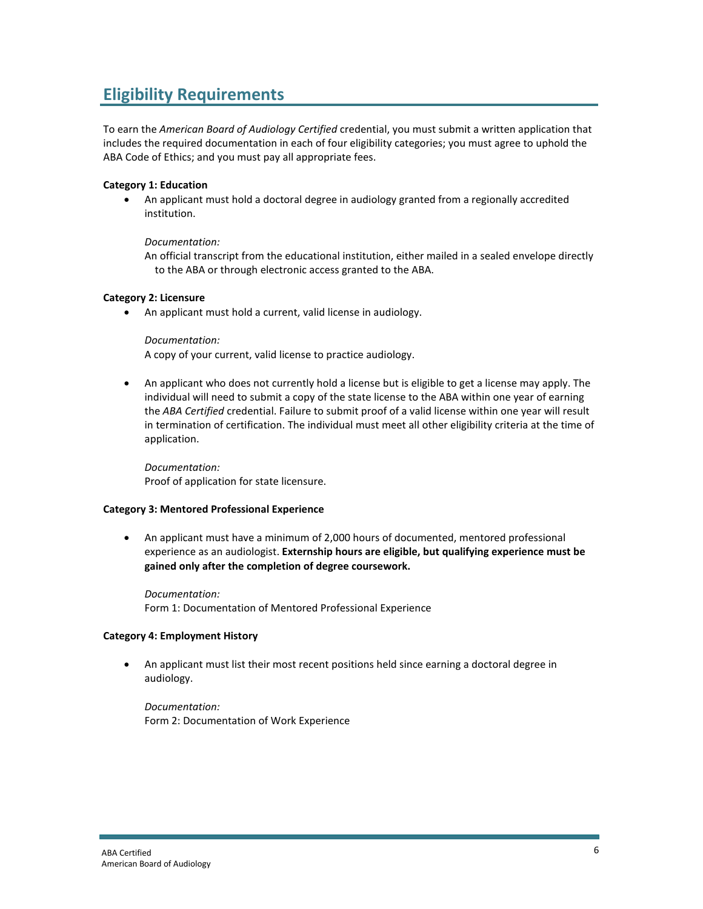## **Eligibility Requirements**

To earn the *American Board of Audiology Certified* credential, you must submit a written application that includes the required documentation in each of four eligibility categories; you must agree to uphold the ABA Code of Ethics; and you must pay all appropriate fees.

#### **Category 1: Education**

• An applicant must hold a doctoral degree in audiology granted from a regionally accredited institution.

#### *Documentation:*

An official transcript from the educational institution, either mailed in a sealed envelope directly to the ABA or through electronic access granted to the ABA.

#### **Category 2: Licensure**

• An applicant must hold a current, valid license in audiology.

*Documentation:*

A copy of your current, valid license to practice audiology.

• An applicant who does not currently hold a license but is eligible to get a license may apply. The individual will need to submit a copy of the state license to the ABA within one year of earning the *ABA Certified* credential. Failure to submit proof of a valid license within one year will result in termination of certification. The individual must meet all other eligibility criteria at the time of application.

*Documentation:* Proof of application for state licensure.

#### **Category 3: Mentored Professional Experience**

• An applicant must have a minimum of 2,000 hours of documented, mentored professional experience as an audiologist. **Externship hours are eligible, but qualifying experience must be gained only after the completion of degree coursework.**

*Documentation:* Form 1: Documentation of Mentored Professional Experience

#### **Category 4: Employment History**

• An applicant must list their most recent positions held since earning a doctoral degree in audiology.

*Documentation:* Form 2: Documentation of Work Experience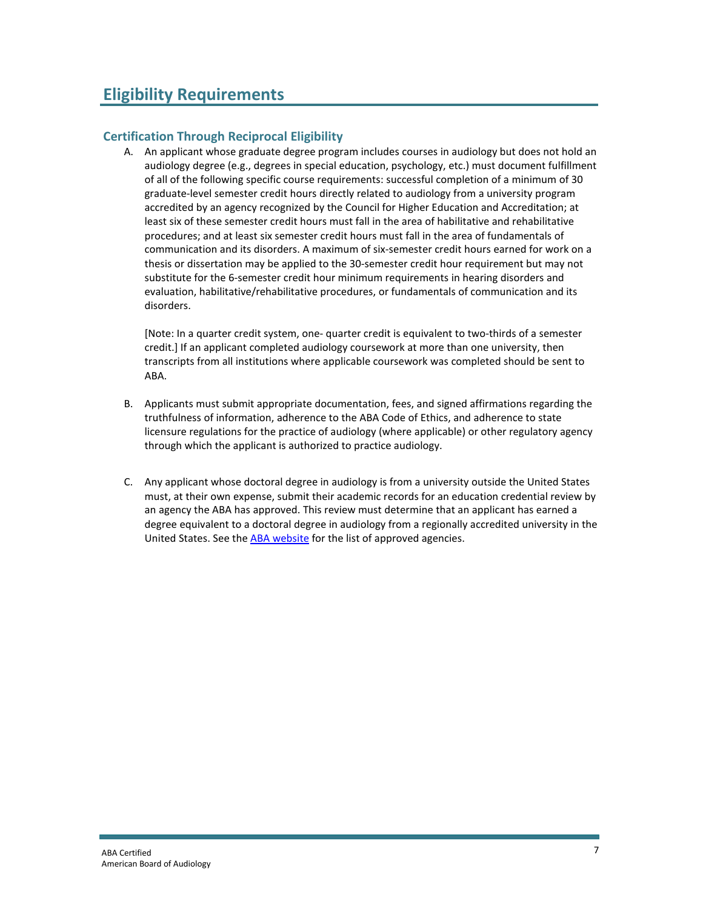#### **Certification Through Reciprocal Eligibility**

A. An applicant whose graduate degree program includes courses in audiology but does not hold an audiology degree (e.g., degrees in special education, psychology, etc.) must document fulfillment of all of the following specific course requirements: successful completion of a minimum of 30 graduate-level semester credit hours directly related to audiology from a university program accredited by an agency recognized by the Council for Higher Education and Accreditation; at least six of these semester credit hours must fall in the area of habilitative and rehabilitative procedures; and at least six semester credit hours must fall in the area of fundamentals of communication and its disorders. A maximum of six-semester credit hours earned for work on a thesis or dissertation may be applied to the 30-semester credit hour requirement but may not substitute for the 6-semester credit hour minimum requirements in hearing disorders and evaluation, habilitative/rehabilitative procedures, or fundamentals of communication and its disorders.

[Note: In a quarter credit system, one- quarter credit is equivalent to two-thirds of a semester credit.] If an applicant completed audiology coursework at more than one university, then transcripts from all institutions where applicable coursework was completed should be sent to ABA.

- B. Applicants must submit appropriate documentation, fees, and signed affirmations regarding the truthfulness of information, adherence to the ABA Code of Ethics, and adherence to state licensure regulations for the practice of audiology (where applicable) or other regulatory agency through which the applicant is authorized to practice audiology.
- C. Any applicant whose doctoral degree in audiology is from a university outside the United States must, at their own expense, submit their academic records for an education credential review by an agency the ABA has approved. This review must determine that an applicant has earned a degree equivalent to a doctoral degree in audiology from a regionally accredited university in the United States. See the [ABA website](https://www.audiology.org/wp-content/uploads/2022/05/Approved-3rd-Party-Evaluations-of-Non-US-Credentials.pdf) for the list of approved agencies.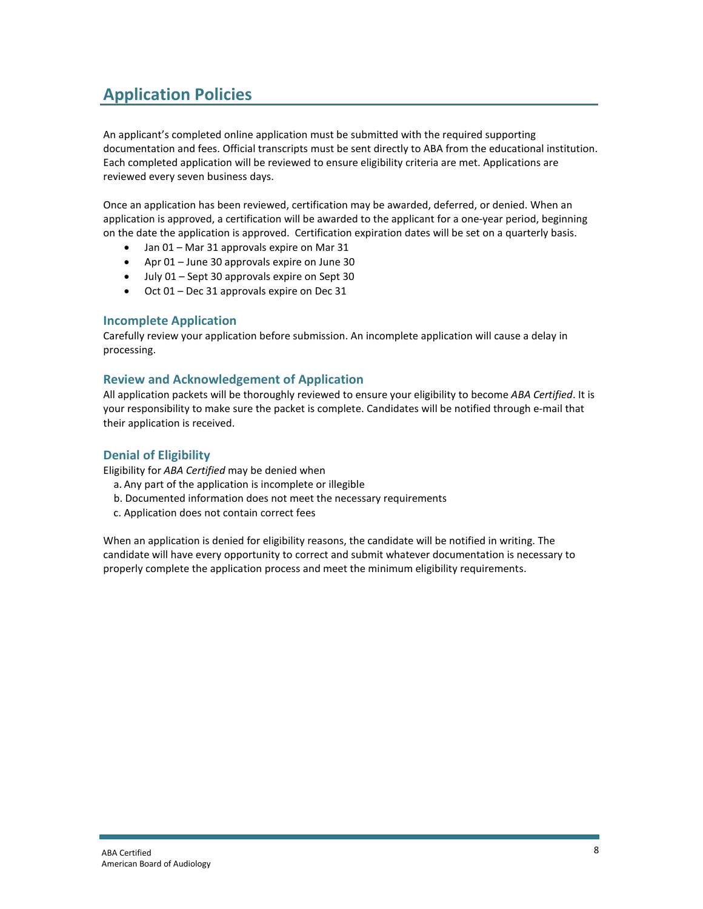## **Application Policies**

An applicant's completed online application must be submitted with the required supporting documentation and fees. Official transcripts must be sent directly to ABA from the educational institution. Each completed application will be reviewed to ensure eligibility criteria are met. Applications are reviewed every seven business days.

Once an application has been reviewed, certification may be awarded, deferred, or denied. When an application is approved, a certification will be awarded to the applicant for a one-year period, beginning on the date the application is approved. Certification expiration dates will be set on a quarterly basis.

- Jan 01 Mar 31 approvals expire on Mar 31
- Apr 01 June 30 approvals expire on June 30
- July 01 Sept 30 approvals expire on Sept 30
- Oct 01 Dec 31 approvals expire on Dec 31

#### **Incomplete Application**

Carefully review your application before submission. An incomplete application will cause a delay in processing.

#### **Review and Acknowledgement of Application**

All application packets will be thoroughly reviewed to ensure your eligibility to become *ABA Certified*. It is your responsibility to make sure the packet is complete. Candidates will be notified through e-mail that their application is received.

#### **Denial of Eligibility**

Eligibility for *ABA Certified* may be denied when

- a. Any part of the application is incomplete or illegible
- b. Documented information does not meet the necessary requirements
- c. Application does not contain correct fees

When an application is denied for eligibility reasons, the candidate will be notified in writing. The candidate will have every opportunity to correct and submit whatever documentation is necessary to properly complete the application process and meet the minimum eligibility requirements.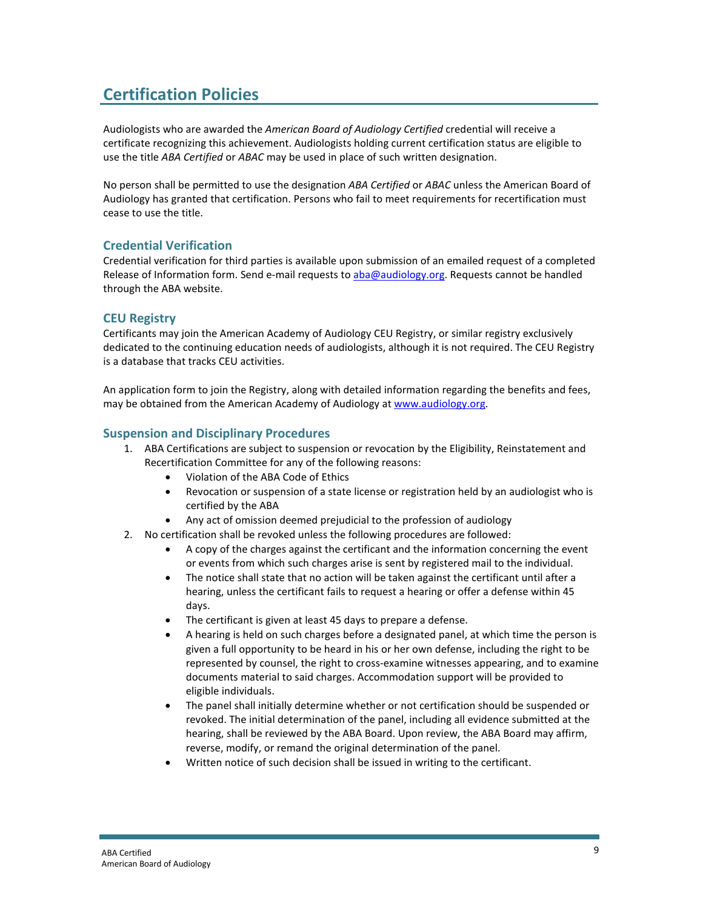## **Certification Policies**

Audiologists who are awarded the *American Board of Audiology Certified* credential will receive a certificate recognizing this achievement. Audiologists holding current certification status are eligible to use the title *ABA Certified* or *ABAC* may be used in place of such written designation.

No person shall be permitted to use the designation *ABA Certified* or *ABAC* unless the American Board of Audiology has granted that certification. Persons who fail to meet requirements for recertification must cease to use the title.

#### **Credential Verification**

Credential verification for third parties is available upon submission of an emailed request of a completed Release of Information form. Send e-mail requests to [aba@audiology.org.](mailto:aba@audiology.org) Requests cannot be handled through the ABA website.

#### **CEU Registry**

Certificants may join the American Academy of Audiology CEU Registry, or similar registry exclusively dedicated to the continuing education needs of audiologists, although it is not required. The CEU Registry is a database that tracks CEU activities.

An application form to join the Registry, along with detailed information regarding the benefits and fees, may be obtained from the American Academy of Audiology a[t www.audiology.org.](http://www.audiology.org/)

#### **Suspension and Disciplinary Procedures**

- 1. ABA Certifications are subject to suspension or revocation by the Eligibility, Reinstatement and Recertification Committee for any of the following reasons:
	- Violation of the ABA Code of Ethics
	- Revocation or suspension of a state license or registration held by an audiologist who is certified by the ABA
	- Any act of omission deemed prejudicial to the profession of audiology
- 2. No certification shall be revoked unless the following procedures are followed:
	- A copy of the charges against the certificant and the information concerning the event or events from which such charges arise is sent by registered mail to the individual.
	- The notice shall state that no action will be taken against the certificant until after a hearing, unless the certificant fails to request a hearing or offer a defense within 45 days.
	- The certificant is given at least 45 days to prepare a defense.
	- A hearing is held on such charges before a designated panel, at which time the person is given a full opportunity to be heard in his or her own defense, including the right to be represented by counsel, the right to cross-examine witnesses appearing, and to examine documents material to said charges. Accommodation support will be provided to eligible individuals.
	- The panel shall initially determine whether or not certification should be suspended or revoked. The initial determination of the panel, including all evidence submitted at the hearing, shall be reviewed by the ABA Board. Upon review, the ABA Board may affirm, reverse, modify, or remand the original determination of the panel.
	- Written notice of such decision shall be issued in writing to the certificant.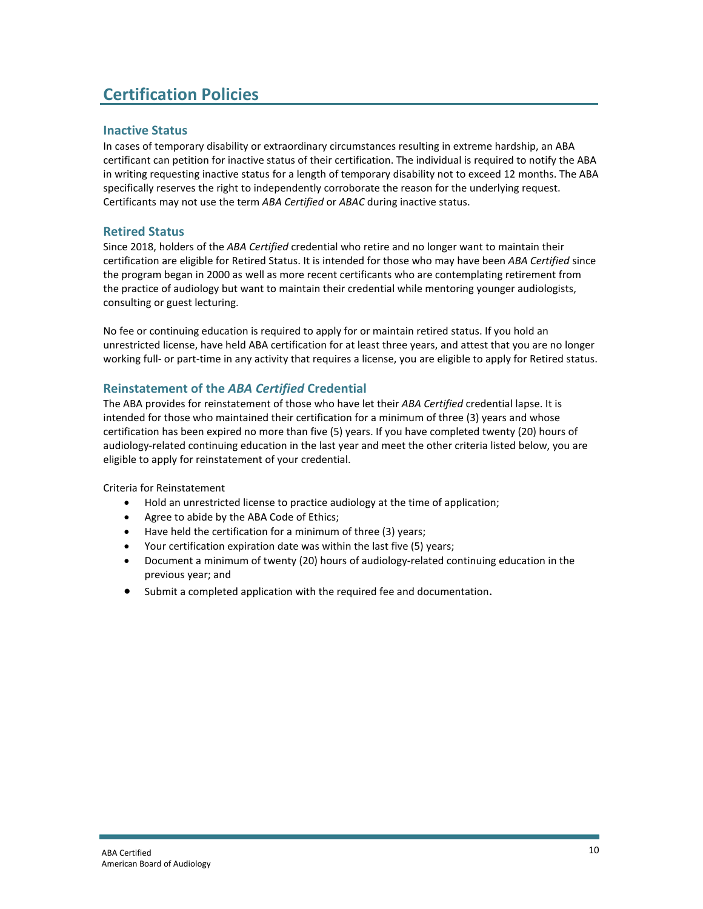## **Certification Policies**

#### **Inactive Status**

In cases of temporary disability or extraordinary circumstances resulting in extreme hardship, an ABA certificant can petition for inactive status of their certification. The individual is required to notify the ABA in writing requesting inactive status for a length of temporary disability not to exceed 12 months. The ABA specifically reserves the right to independently corroborate the reason for the underlying request. Certificants may not use the term *ABA Certified* or *ABAC* during inactive status.

#### **Retired Status**

Since 2018, holders of the *ABA Certified* credential who retire and no longer want to maintain their certification are eligible for Retired Status. It is intended for those who may have been *ABA Certified* since the program began in 2000 as well as more recent certificants who are contemplating retirement from the practice of audiology but want to maintain their credential while mentoring younger audiologists, consulting or guest lecturing.

No fee or continuing education is required to apply for or maintain retired status. If you hold an unrestricted license, have held ABA certification for at least three years, and attest that you are no longer working full- or part-time in any activity that requires a license, you are eligible to apply for Retired status.

#### **Reinstatement of the** *ABA Certified* **Credential**

The ABA provides for reinstatement of those who have let their *ABA Certified* credential lapse. It is intended for those who maintained their certification for a minimum of three (3) years and whose certification has been expired no more than five (5) years. If you have completed twenty (20) hours of audiology-related continuing education in the last year and meet the other criteria listed below, you are eligible to apply for reinstatement of your credential.

Criteria for Reinstatement

- Hold an unrestricted license to practice audiology at the time of application;
- Agree to abide by the ABA Code of Ethics;
- Have held the certification for a minimum of three (3) years;
- Your certification expiration date was within the last five (5) years;
- Document a minimum of twenty (20) hours of audiology-related continuing education in the previous year; and
- Submit a completed application with the required fee and documentation.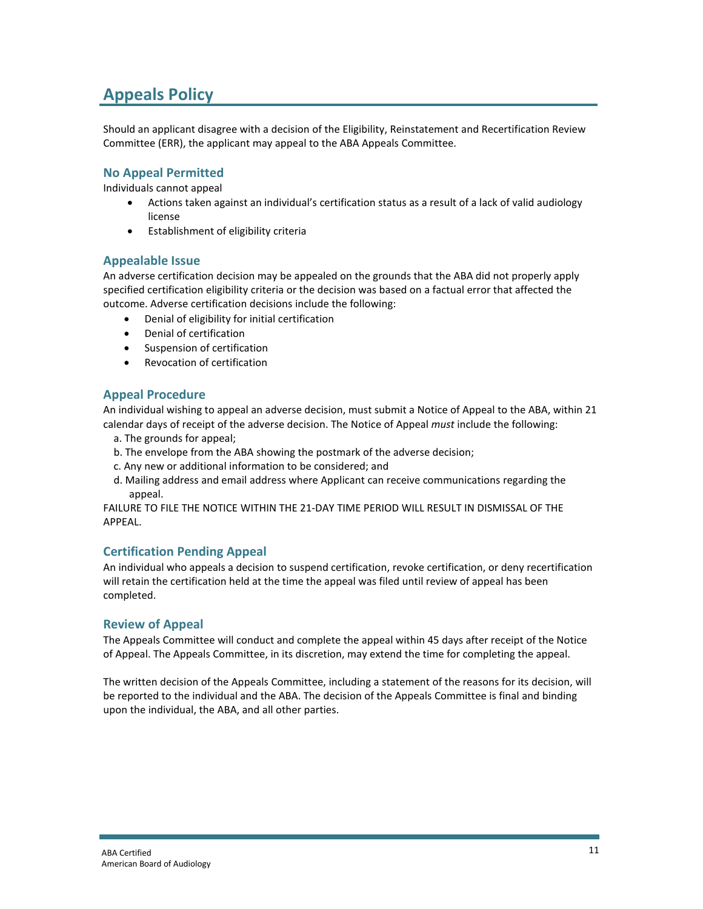## **Appeals Policy**

Should an applicant disagree with a decision of the Eligibility, Reinstatement and Recertification Review Committee (ERR), the applicant may appeal to the ABA Appeals Committee.

#### **No Appeal Permitted**

Individuals cannot appeal

- Actions taken against an individual's certification status as a result of a lack of valid audiology license
- Establishment of eligibility criteria

#### **Appealable Issue**

An adverse certification decision may be appealed on the grounds that the ABA did not properly apply specified certification eligibility criteria or the decision was based on a factual error that affected the outcome. Adverse certification decisions include the following:

- Denial of eligibility for initial certification
- Denial of certification
- Suspension of certification
- Revocation of certification

#### **Appeal Procedure**

An individual wishing to appeal an adverse decision, must submit a Notice of Appeal to the ABA, within 21 calendar days of receipt of the adverse decision. The Notice of Appeal *must* include the following:

- a. The grounds for appeal;
- b. The envelope from the ABA showing the postmark of the adverse decision;
- c. Any new or additional information to be considered; and
- d. Mailing address and email address where Applicant can receive communications regarding the appeal.

FAILURE TO FILE THE NOTICE WITHIN THE 21-DAY TIME PERIOD WILL RESULT IN DISMISSAL OF THE APPEAL.

#### **Certification Pending Appeal**

An individual who appeals a decision to suspend certification, revoke certification, or deny recertification will retain the certification held at the time the appeal was filed until review of appeal has been completed.

#### **Review of Appeal**

The Appeals Committee will conduct and complete the appeal within 45 days after receipt of the Notice of Appeal. The Appeals Committee, in its discretion, may extend the time for completing the appeal.

The written decision of the Appeals Committee, including a statement of the reasons for its decision, will be reported to the individual and the ABA. The decision of the Appeals Committee is final and binding upon the individual, the ABA, and all other parties.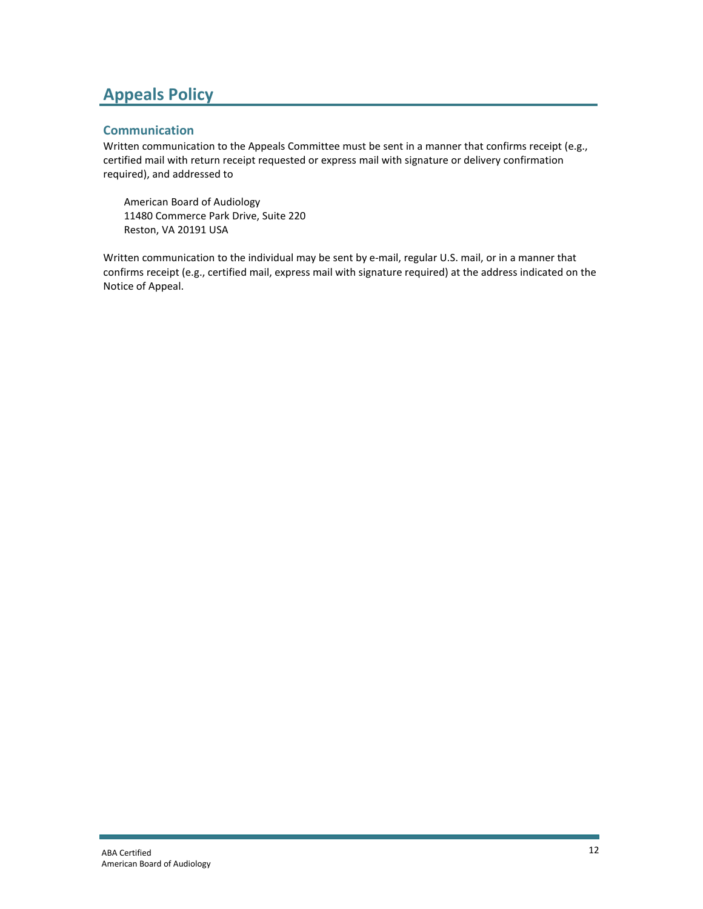## **Appeals Policy**

#### **Communication**

Written communication to the Appeals Committee must be sent in a manner that confirms receipt (e.g., certified mail with return receipt requested or express mail with signature or delivery confirmation required), and addressed to

American Board of Audiology 11480 Commerce Park Drive, Suite 220 Reston, VA 20191 USA

Written communication to the individual may be sent by e-mail, regular U.S. mail, or in a manner that confirms receipt (e.g., certified mail, express mail with signature required) at the address indicated on the Notice of Appeal.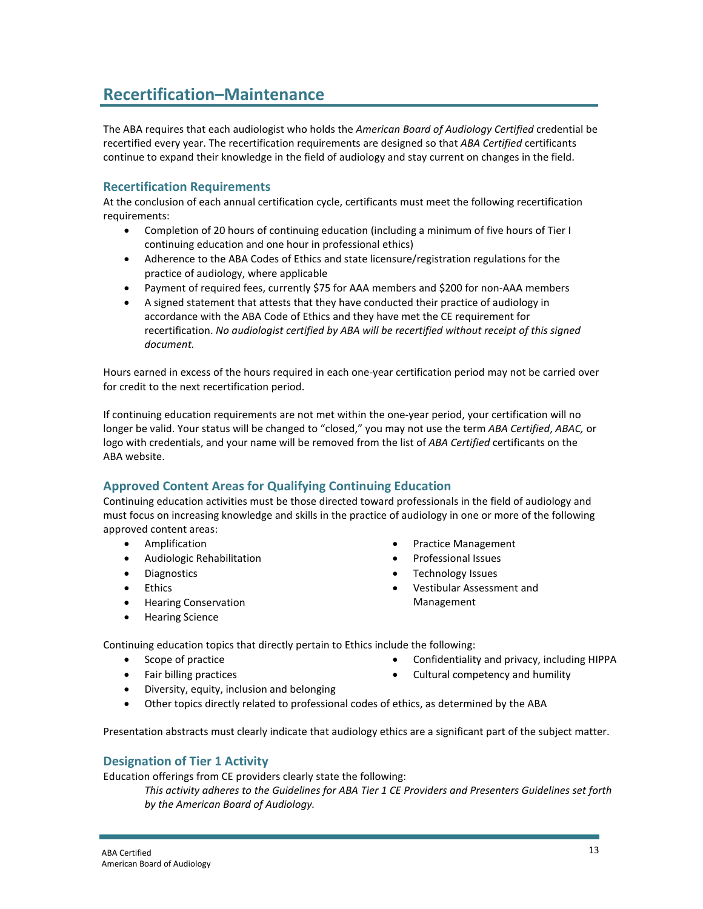### **Recertification–Maintenance**

The ABA requires that each audiologist who holds the *American Board of Audiology Certified* credential be recertified every year. The recertification requirements are designed so that *ABA Certified* certificants continue to expand their knowledge in the field of audiology and stay current on changes in the field.

#### **Recertification Requirements**

At the conclusion of each annual certification cycle, certificants must meet the following recertification requirements:

- Completion of 20 hours of continuing education (including a minimum of five hours of Tier I continuing education and one hour in professional ethics)
- Adherence to the ABA Codes of Ethics and state licensure/registration regulations for the practice of audiology, where applicable
- Payment of required fees, currently \$75 for AAA members and \$200 for non-AAA members
- A signed statement that attests that they have conducted their practice of audiology in accordance with the ABA Code of Ethics and they have met the CE requirement for recertification. *No audiologist certified by ABA will be recertified without receipt of this signed document.*

Hours earned in excess of the hours required in each one-year certification period may not be carried over for credit to the next recertification period.

If continuing education requirements are not met within the one-year period, your certification will no longer be valid. Your status will be changed to "closed," you may not use the term *ABA Certified*, *ABAC,* or logo with credentials, and your name will be removed from the list of *ABA Certified* certificants on the ABA website.

#### **Approved Content Areas for Qualifying Continuing Education**

Continuing education activities must be those directed toward professionals in the field of audiology and must focus on increasing knowledge and skills in the practice of audiology in one or more of the following approved content areas:

- Amplification
- Audiologic Rehabilitation
- Diagnostics
- Ethics
- Hearing Conservation
- Hearing Science
- Practice Management
- Professional Issues
- Technology Issues
- Vestibular Assessment and Management

Continuing education topics that directly pertain to Ethics include the following:

- Scope of practice
- Fair billing practices
- Confidentiality and privacy, including HIPPA
- Cultural competency and humility
- Diversity, equity, inclusion and belonging
- Other topics directly related to professional codes of ethics, as determined by the ABA

Presentation abstracts must clearly indicate that audiology ethics are a significant part of the subject matter.

#### **Designation of Tier 1 Activity**

Education offerings from CE providers clearly state the following:

*This activity adheres to the Guidelines for ABA Tier 1 CE Providers and Presenters Guidelines set forth by the American Board of Audiology.*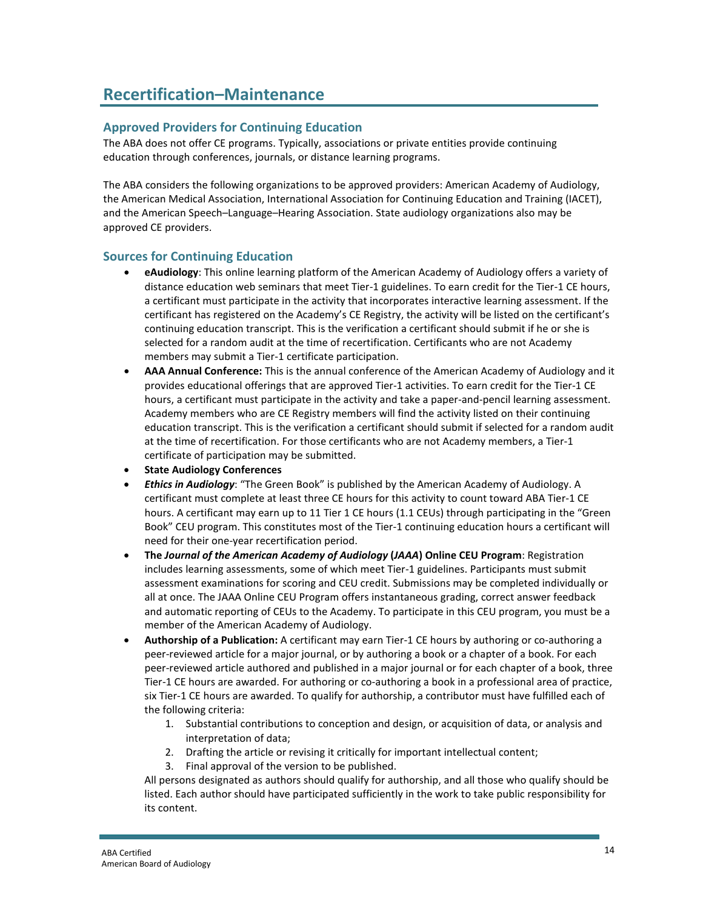## **Recertification–Maintenance**

#### **Approved Providers for Continuing Education**

The ABA does not offer CE programs. Typically, associations or private entities provide continuing education through conferences, journals, or distance learning programs.

The ABA considers the following organizations to be approved providers: American Academy of Audiology, the American Medical Association, International Association for Continuing Education and Training (IACET), and the American Speech–Language–Hearing Association. State audiology organizations also may be approved CE providers.

#### **Sources for Continuing Education**

- **eAudiology**: This online learning platform of the American Academy of Audiology offers a variety of distance education web seminars that meet Tier-1 guidelines. To earn credit for the Tier-1 CE hours, a certificant must participate in the activity that incorporates interactive learning assessment. If the certificant has registered on the Academy's CE Registry, the activity will be listed on the certificant's continuing education transcript. This is the verification a certificant should submit if he or she is selected for a random audit at the time of recertification. Certificants who are not Academy members may submit a Tier-1 certificate participation.
- **AAA Annual Conference:** This is the annual conference of the American Academy of Audiology and it provides educational offerings that are approved Tier-1 activities. To earn credit for the Tier-1 CE hours, a certificant must participate in the activity and take a paper-and-pencil learning assessment. Academy members who are CE Registry members will find the activity listed on their continuing education transcript. This is the verification a certificant should submit if selected for a random audit at the time of recertification. For those certificants who are not Academy members, a Tier-1 certificate of participation may be submitted.
- **State Audiology Conferences**
- *Ethics in Audiology*: "The Green Book" is published by the American Academy of Audiology. A certificant must complete at least three CE hours for this activity to count toward ABA Tier-1 CE hours. A certificant may earn up to 11 Tier 1 CE hours (1.1 CEUs) through participating in the "Green Book" CEU program. This constitutes most of the Tier-1 continuing education hours a certificant will need for their one-year recertification period.
- **The** *Journal of the American Academy of Audiology* **(***JAAA***) Online CEU Program**: Registration includes learning assessments, some of which meet Tier-1 guidelines. Participants must submit assessment examinations for scoring and CEU credit. Submissions may be completed individually or all at once. The JAAA Online CEU Program offers instantaneous grading, correct answer feedback and automatic reporting of CEUs to the Academy. To participate in this CEU program, you must be a member of the American Academy of Audiology.
- **Authorship of a Publication:** A certificant may earn Tier-1 CE hours by authoring or co-authoring a peer-reviewed article for a major journal, or by authoring a book or a chapter of a book. For each peer-reviewed article authored and published in a major journal or for each chapter of a book, three Tier-1 CE hours are awarded. For authoring or co-authoring a book in a professional area of practice, six Tier-1 CE hours are awarded. To qualify for authorship, a contributor must have fulfilled each of the following criteria:
	- 1. Substantial contributions to conception and design, or acquisition of data, or analysis and interpretation of data;
	- 2. Drafting the article or revising it critically for important intellectual content;
	- 3. Final approval of the version to be published.

All persons designated as authors should qualify for authorship, and all those who qualify should be listed. Each author should have participated sufficiently in the work to take public responsibility for its content.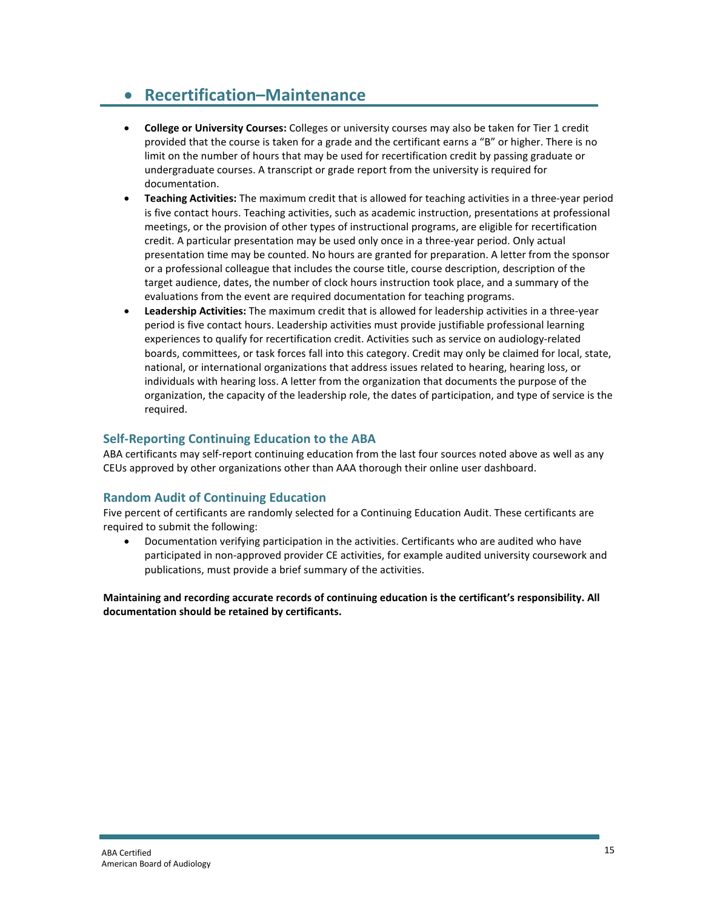### • **Recertification–Maintenance**

- **College or University Courses:** Colleges or university courses may also be taken for Tier 1 credit provided that the course is taken for a grade and the certificant earns a "B" or higher. There is no limit on the number of hours that may be used for recertification credit by passing graduate or undergraduate courses. A transcript or grade report from the university is required for documentation.
- **Teaching Activities:** The maximum credit that is allowed for teaching activities in a three-year period is five contact hours. Teaching activities, such as academic instruction, presentations at professional meetings, or the provision of other types of instructional programs, are eligible for recertification credit. A particular presentation may be used only once in a three-year period. Only actual presentation time may be counted. No hours are granted for preparation. A letter from the sponsor or a professional colleague that includes the course title, course description, description of the target audience, dates, the number of clock hours instruction took place, and a summary of the evaluations from the event are required documentation for teaching programs.
- **Leadership Activities:** The maximum credit that is allowed for leadership activities in a three-year period is five contact hours. Leadership activities must provide justifiable professional learning experiences to qualify for recertification credit. Activities such as service on audiology-related boards, committees, or task forces fall into this category. Credit may only be claimed for local, state, national, or international organizations that address issues related to hearing, hearing loss, or individuals with hearing loss. A letter from the organization that documents the purpose of the organization, the capacity of the leadership role, the dates of participation, and type of service is the required.

#### **Self-Reporting Continuing Education to the ABA**

ABA certificants may self-report continuing education from the last four sources noted above as well as any CEUs approved by other organizations other than AAA thorough their online user dashboard.

#### **Random Audit of Continuing Education**

Five percent of certificants are randomly selected for a Continuing Education Audit. These certificants are required to submit the following:

• Documentation verifying participation in the activities. Certificants who are audited who have participated in non-approved provider CE activities, for example audited university coursework and publications, must provide a brief summary of the activities.

**Maintaining and recording accurate records of continuing education is the certificant's responsibility. All documentation should be retained by certificants.**